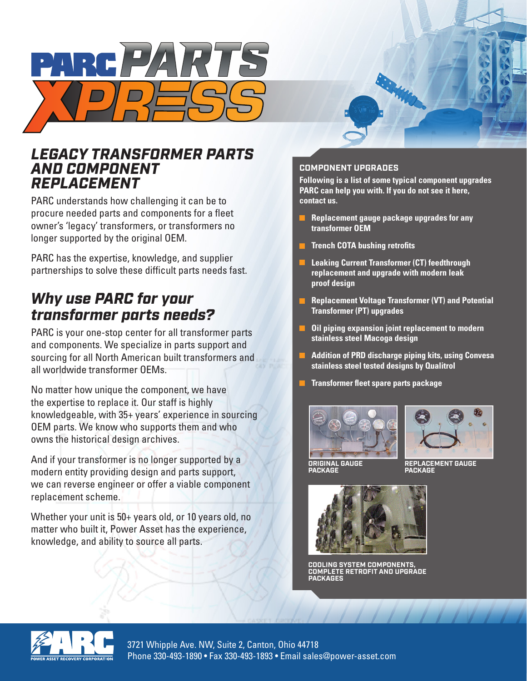

## *LEGACY TRANSFORMER PARTS AND COMPONENT REPLACEMENT*

PARC understands how challenging it can be to procure needed parts and components for a fleet owner's 'legacy' transformers, or transformers no longer supported by the original OEM.

PARC has the expertise, knowledge, and supplier partnerships to solve these difficult parts needs fast.

# *Why use PARC for your transformer parts needs?*

PARC is your one-stop center for all transformer parts and components. We specialize in parts support and sourcing for all North American built transformers and all worldwide transformer OEMs.

No matter how unique the component, we have the expertise to replace it. Our staff is highly knowledgeable, with 35+ years' experience in sourcing OEM parts. We know who supports them and who owns the historical design archives.

And if your transformer is no longer supported by a modern entity providing design and parts support, we can reverse engineer or offer a viable component replacement scheme.

Whether your unit is 50+ years old, or 10 years old, no matter who built it, Power Asset has the experience, knowledge, and ability to source all parts.

### **COMPONENT UPGRADES**

**Following is a list of some typical component upgrades PARC can help you with. If you do not see it here, contact us.**

- **Replacement gauge package upgrades for any transformer OEM**
- **Trench COTA bushing retrofits**
- **Leaking Current Transformer (CT) feedthrough replacement and upgrade with modern leak proof design**
- **Replacement Voltage Transformer (VT) and Potential Transformer (PT) upgrades**
- **Oil piping expansion joint replacement to modern stainless steel Macoga design**
- **Addition of PRD discharge piping kits, using Convesa stainless steel tested designs by Qualitrol**
- **Transformer fleet spare parts package**





**ORIGINAL GAUGE PACKAGE**

**REPLACEMENT GAUGE PACKAGE**



**COOLING SYSTEM COMPONENTS, COMPLETE RETROFIT AND UPGRADE PACKAGES**



3721 Whipple Ave. NW, Suite 2, Canton, Ohio 44718 Phone 330-493-1890 • Fax 330-493-1893 • Email sales@power-asset.com